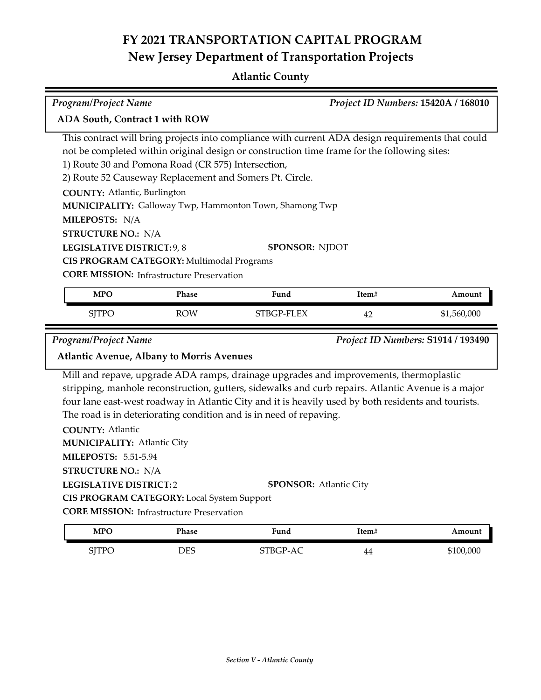## **Atlantic County**

| Program/Project Name                                                                                                                                                                                           |                                                                                                |                                                                                                                                                                                                                                                                                                                                                                                                           |       | Project ID Numbers: 15420A / 168010 |
|----------------------------------------------------------------------------------------------------------------------------------------------------------------------------------------------------------------|------------------------------------------------------------------------------------------------|-----------------------------------------------------------------------------------------------------------------------------------------------------------------------------------------------------------------------------------------------------------------------------------------------------------------------------------------------------------------------------------------------------------|-------|-------------------------------------|
| ADA South, Contract 1 with ROW                                                                                                                                                                                 |                                                                                                |                                                                                                                                                                                                                                                                                                                                                                                                           |       |                                     |
| <b>COUNTY: Atlantic, Burlington</b><br>MILEPOSTS: N/A<br><b>STRUCTURE NO.: N/A</b>                                                                                                                             | 1) Route 30 and Pomona Road (CR 575) Intersection,                                             | This contract will bring projects into compliance with current ADA design requirements that could<br>not be completed within original design or construction time frame for the following sites:<br>2) Route 52 Causeway Replacement and Somers Pt. Circle.<br>MUNICIPALITY: Galloway Twp, Hammonton Town, Shamong Twp                                                                                    |       |                                     |
| LEGISLATIVE DISTRICT: 9, 8                                                                                                                                                                                     | CIS PROGRAM CATEGORY: Multimodal Programs                                                      | <b>SPONSOR: NJDOT</b>                                                                                                                                                                                                                                                                                                                                                                                     |       |                                     |
|                                                                                                                                                                                                                | <b>CORE MISSION:</b> Infrastructure Preservation                                               |                                                                                                                                                                                                                                                                                                                                                                                                           |       |                                     |
| <b>MPO</b>                                                                                                                                                                                                     | Phase                                                                                          | Fund                                                                                                                                                                                                                                                                                                                                                                                                      | Item# | Amount                              |
| <b>SJTPO</b>                                                                                                                                                                                                   | <b>ROW</b>                                                                                     | STBGP-FLEX                                                                                                                                                                                                                                                                                                                                                                                                | 42    | \$1,560,000                         |
| <b>Atlantic Avenue, Albany to Morris Avenues</b><br><b>COUNTY: Atlantic</b><br><b>MUNICIPALITY: Atlantic City</b><br><b>MILEPOSTS: 5.51-5.94</b><br><b>STRUCTURE NO.: N/A</b><br><b>LEGISLATIVE DISTRICT:2</b> | CIS PROGRAM CATEGORY: Local System Support<br><b>CORE MISSION:</b> Infrastructure Preservation | Mill and repave, upgrade ADA ramps, drainage upgrades and improvements, thermoplastic<br>stripping, manhole reconstruction, gutters, sidewalks and curb repairs. Atlantic Avenue is a major<br>four lane east-west roadway in Atlantic City and it is heavily used by both residents and tourists.<br>The road is in deteriorating condition and is in need of repaving.<br><b>SPONSOR: Atlantic City</b> |       |                                     |
| <b>MPO</b>                                                                                                                                                                                                     | Phase                                                                                          | Fund                                                                                                                                                                                                                                                                                                                                                                                                      | Item# | Amount                              |
| <b>SJTPO</b>                                                                                                                                                                                                   | <b>DES</b>                                                                                     | STBGP-AC                                                                                                                                                                                                                                                                                                                                                                                                  | 44    | \$100,000                           |
|                                                                                                                                                                                                                |                                                                                                |                                                                                                                                                                                                                                                                                                                                                                                                           |       |                                     |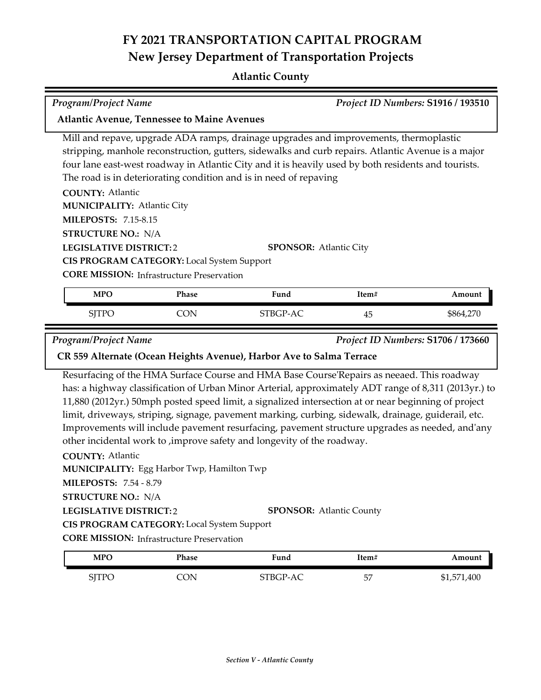### **Atlantic County**

| <b>Program/Project Name</b>                        |            |                                                                                                     |       | Project ID Numbers: S1916 / 193510 |
|----------------------------------------------------|------------|-----------------------------------------------------------------------------------------------------|-------|------------------------------------|
| <b>Atlantic Avenue, Tennessee to Maine Avenues</b> |            |                                                                                                     |       |                                    |
|                                                    |            | Mill and repave, upgrade ADA ramps, drainage upgrades and improvements, thermoplastic               |       |                                    |
|                                                    |            | stripping, manhole reconstruction, gutters, sidewalks and curb repairs. Atlantic Avenue is a major  |       |                                    |
|                                                    |            | four lane east-west roadway in Atlantic City and it is heavily used by both residents and tourists. |       |                                    |
|                                                    |            | The road is in deteriorating condition and is in need of repaving                                   |       |                                    |
| <b>COUNTY: Atlantic</b>                            |            |                                                                                                     |       |                                    |
| <b>MUNICIPALITY: Atlantic City</b>                 |            |                                                                                                     |       |                                    |
| <b>MILEPOSTS: 7.15-8.15</b>                        |            |                                                                                                     |       |                                    |
| <b>STRUCTURE NO.: N/A</b>                          |            |                                                                                                     |       |                                    |
| <b>LEGISLATIVE DISTRICT:2</b>                      |            | <b>SPONSOR: Atlantic City</b>                                                                       |       |                                    |
| <b>CIS PROGRAM CATEGORY:</b> Local System Support  |            |                                                                                                     |       |                                    |
| <b>CORE MISSION:</b> Infrastructure Preservation   |            |                                                                                                     |       |                                    |
| <b>MPO</b>                                         | Phase      | Fund                                                                                                | Item# | Amount                             |
| <b>SJTPO</b>                                       | <b>CON</b> | STBGP-AC                                                                                            | 45    | \$864,270                          |
| <b>Program/Project Name</b>                        |            |                                                                                                     |       | Project ID Numbers: S1706 / 173660 |
|                                                    |            | CR 559 Alternate (Ocean Heights Avenue), Harbor Ave to Salma Terrace                                |       |                                    |

Resurfacing of the HMA Surface Course and HMA Base Course'Repairs as neeaed. This roadway has: a highway classification of Urban Minor Arterial, approximately ADT range of 8,311 (2013yr.) to 11,880 (2012yr.) 50mph posted speed limit, a signalized intersection at or near beginning of project limit, driveways, striping, signage, pavement marking, curbing, sidewalk, drainage, guiderail, etc. Improvements will include pavement resurfacing, pavement structure upgrades as needed, and'any other incidental work to ,improve safety and longevity of the roadway.

**COUNTY:** Atlantic **LEGISLATIVE DISTRICT:** 2 **MILEPOSTS:** 7.54 - 8.79 **STRUCTURE NO.:** N/A Egg Harbor Twp, Hamilton Twp **MUNICIPALITY: CORE MISSION:** Infrastructure Preservation **SPONSOR:** Atlantic County **CIS PROGRAM CATEGORY:** Local System Support

| MPC          | Phase     | Fund     | Ttem# | Amount      |
|--------------|-----------|----------|-------|-------------|
| <b>SJTPC</b> | $\bigcap$ | STBGP-AC | 57    | \$1,571,400 |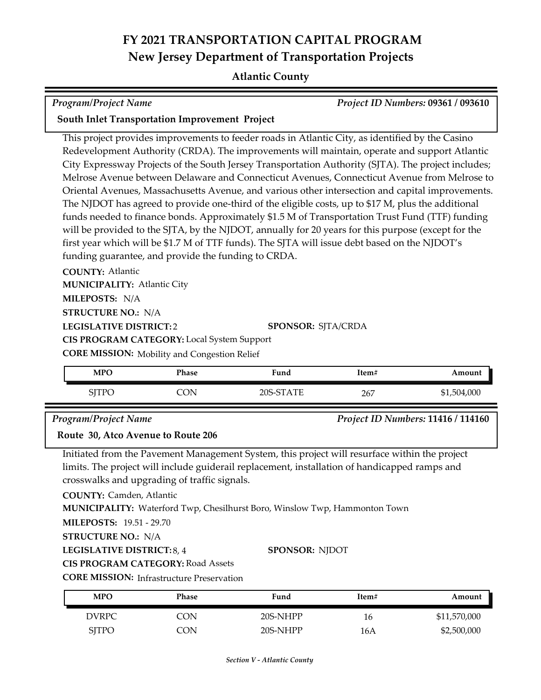### **Atlantic County**

| Program/Project Name | <b>Project ID Numbers: 09361 / 093610</b> |
|----------------------|-------------------------------------------|

### **South Inlet Transportation Improvement Project**

This project provides improvements to feeder roads in Atlantic City, as identified by the Casino Redevelopment Authority (CRDA). The improvements will maintain, operate and support Atlantic City Expressway Projects of the South Jersey Transportation Authority (SJTA). The project includes; Melrose Avenue between Delaware and Connecticut Avenues, Connecticut Avenue from Melrose to Oriental Avenues, Massachusetts Avenue, and various other intersection and capital improvements. The NJDOT has agreed to provide one-third of the eligible costs, up to \$17 M, plus the additional funds needed to finance bonds. Approximately \$1.5 M of Transportation Trust Fund (TTF) funding will be provided to the SJTA, by the NJDOT, annually for 20 years for this purpose (except for the first year which will be \$1.7 M of TTF funds). The SJTA will issue debt based on the NJDOT's funding guarantee, and provide the funding to CRDA.

**COUNTY:** Atlantic **LEGISLATIVE DISTRICT:** 2 **MILEPOSTS:** N/A **STRUCTURE NO.:** N/A **MUNICIPALITY: Atlantic City CORE MISSION:** Mobility and Congestion Relief **SPONSOR:** SJTA/CRDA **CIS PROGRAM CATEGORY:** Local System Support

| MPO       | <sup>p</sup> hase | T.<br>Fund              | Item# | Amount   |
|-----------|-------------------|-------------------------|-------|----------|
| or<br>11C | ۱Л                | `ATE<br>. CT<br>$20S-9$ | 267   | .504,000 |

### *Program/Project Name Project ID Numbers:* **11416 / 114160**

### **Route 30, Atco Avenue to Route 206**

Initiated from the Pavement Management System, this project will resurface within the project limits. The project will include guiderail replacement, installation of handicapped ramps and crosswalks and upgrading of traffic signals.

**COUNTY:** Camden, Atlantic

**MUNICIPALITY:** Waterford Twp, Chesilhurst Boro, Winslow Twp, Hammonton Town

**MILEPOSTS:** 19.51 - 29.70

```
STRUCTURE NO.:
N/A
```

```
LEGISLATIVE DISTRICT:
8, 4
```
### **SPONSOR:** NJDOT

**CIS PROGRAM CATEGORY:** Road Assets

**CORE MISSION:** Infrastructure Preservation

| MPO          | Phase | Fund     | Item# | Amount       |
|--------------|-------|----------|-------|--------------|
| <b>DVRPC</b> | CON   | 20S-NHPP | 16    | \$11,570,000 |
| SITPO        | CON   | 20S-NHPP | 16A   | \$2,500,000  |